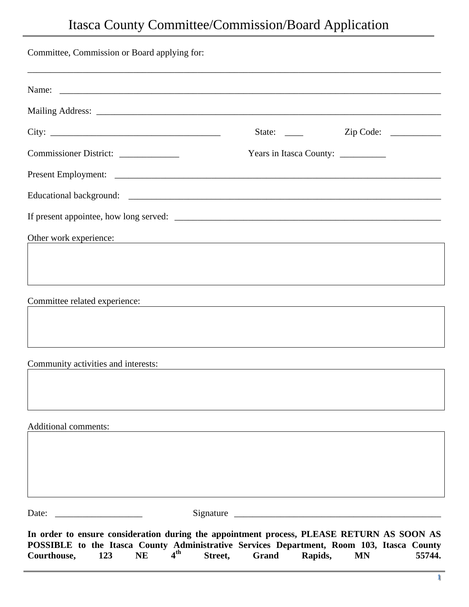## Itasca County Committee/Commission/Board Application

| Committee, Commission or Board applying for:                                                                                                                                                                                                 |         |                                                                                                                      |           |        |
|----------------------------------------------------------------------------------------------------------------------------------------------------------------------------------------------------------------------------------------------|---------|----------------------------------------------------------------------------------------------------------------------|-----------|--------|
| ,我们也不能在这里的,我们也不能在这里的,我们也不能在这里的,我们也不能不能在这里的。""我们,我们也不能不能不能不能不能不能不能不能不能不能不能不能不能不能不能                                                                                                                                                            |         |                                                                                                                      |           |        |
|                                                                                                                                                                                                                                              |         |                                                                                                                      |           |        |
| City:                                                                                                                                                                                                                                        |         |                                                                                                                      |           |        |
| Commissioner District: _____________                                                                                                                                                                                                         |         | Years in Itasca County: ___________                                                                                  |           |        |
|                                                                                                                                                                                                                                              |         |                                                                                                                      |           |        |
|                                                                                                                                                                                                                                              |         |                                                                                                                      |           |        |
|                                                                                                                                                                                                                                              |         |                                                                                                                      |           |        |
| Other work experience:                                                                                                                                                                                                                       |         |                                                                                                                      |           |        |
|                                                                                                                                                                                                                                              |         |                                                                                                                      |           |        |
|                                                                                                                                                                                                                                              |         |                                                                                                                      |           |        |
| Committee related experience:                                                                                                                                                                                                                |         | <u> 1980 - Andrea State Barbara, amerikan personal di sebagai personal di sebagai personal di sebagai personal d</u> |           |        |
|                                                                                                                                                                                                                                              |         |                                                                                                                      |           |        |
|                                                                                                                                                                                                                                              |         |                                                                                                                      |           |        |
| Community activities and interests:                                                                                                                                                                                                          |         |                                                                                                                      |           |        |
|                                                                                                                                                                                                                                              |         |                                                                                                                      |           |        |
|                                                                                                                                                                                                                                              |         |                                                                                                                      |           |        |
| <b>Additional comments:</b>                                                                                                                                                                                                                  |         |                                                                                                                      |           |        |
|                                                                                                                                                                                                                                              |         |                                                                                                                      |           |        |
|                                                                                                                                                                                                                                              |         |                                                                                                                      |           |        |
|                                                                                                                                                                                                                                              |         |                                                                                                                      |           |        |
| Date:<br><u> 1989 - Johann Barbara, martin a</u>                                                                                                                                                                                             |         |                                                                                                                      |           |        |
| In order to ensure consideration during the appointment process, PLEASE RETURN AS SOON AS<br>POSSIBLE to the Itasca County Administrative Services Department, Room 103, Itasca County<br>4 <sup>th</sup><br>Courthouse,<br><b>NE</b><br>123 | Street, | Grand<br>Rapids,                                                                                                     | <b>MN</b> | 55744. |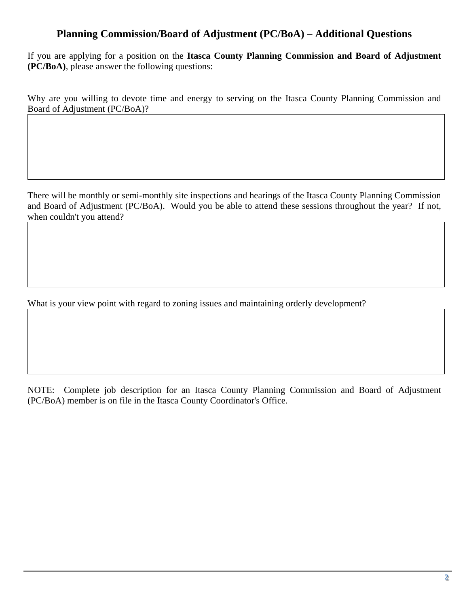## **Planning Commission/Board of Adjustment (PC/BoA) – Additional Questions**

If you are applying for a position on the **Itasca County Planning Commission and Board of Adjustment (PC/BoA)**, please answer the following questions:

Why are you willing to devote time and energy to serving on the Itasca County Planning Commission and Board of Adjustment (PC/BoA)?

There will be monthly or semi-monthly site inspections and hearings of the Itasca County Planning Commission and Board of Adjustment (PC/BoA). Would you be able to attend these sessions throughout the year? If not, when couldn't you attend?

What is your view point with regard to zoning issues and maintaining orderly development?

NOTE: Complete job description for an Itasca County Planning Commission and Board of Adjustment (PC/BoA) member is on file in the Itasca County Coordinator's Office.